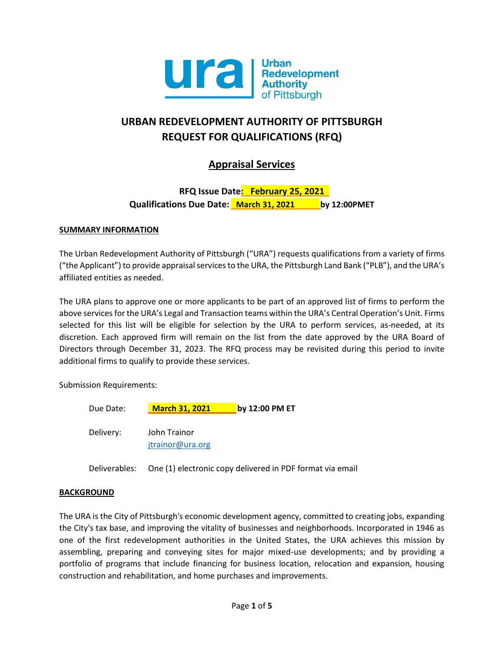

# **URBAN REDEVELOPMENT AUTHORITY OF PITTSBURGH REQUEST FOR QUALIFICATIONS (RFQ)**

# **Appraisal Services**

# **RFQ Issue Date: February 25, 2021 Qualifications Due Date: March 31, 2021 by 12:00PMET**

## **SUMMARY INFORMATION**

The Urban Redevelopment Authority of Pittsburgh ("URA") requests qualifications from a variety of firms ("the Applicant") to provide appraisal services to the URA, the Pittsburgh Land Bank ("PLB"), and the URA's affiliated entities as needed.

The URA plans to approve one or more applicants to be part of an approved list of firms to perform the above services for the URA's Legal and Transaction teams within the URA's Central Operation's Unit. Firms selected for this list will be eligible for selection by the URA to perform services, as-needed, at its discretion. Each approved firm will remain on the list from the date approved by the URA Board of Directors through December 31, 2023. The RFQ process may be revisited during this period to invite additional firms to qualify to provide these services.

Submission Requirements:

| Due Date: | <b>March 31, 2021</b> | by 12:00 PM ET |
|-----------|-----------------------|----------------|
| Delivery: | John Trainor          |                |
|           | jtrainor@ura.org      |                |

Deliverables: One (1) electronic copy delivered in PDF format via email

# **BACKGROUND**

The URA is the City of Pittsburgh's economic development agency, committed to creating jobs, expanding the City's tax base, and improving the vitality of businesses and neighborhoods. Incorporated in 1946 as one of the first redevelopment authorities in the United States, the URA achieves this mission by assembling, preparing and conveying sites for major mixed-use developments; and by providing a portfolio of programs that include financing for business location, relocation and expansion, housing construction and rehabilitation, and home purchases and improvements.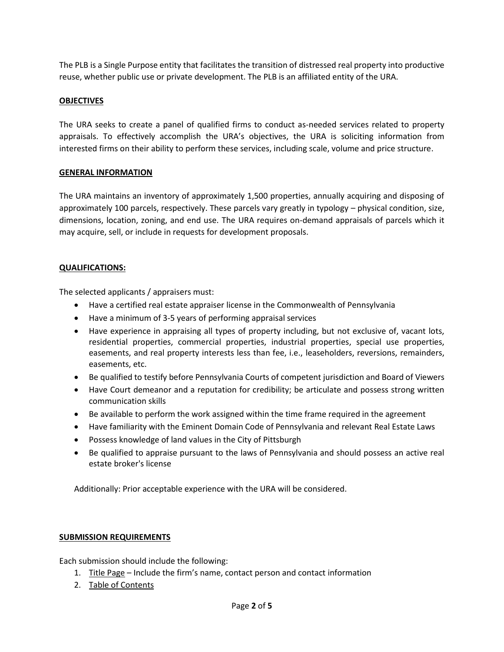The PLB is a Single Purpose entity that facilitates the transition of distressed real property into productive reuse, whether public use or private development. The PLB is an affiliated entity of the URA.

# **OBJECTIVES**

The URA seeks to create a panel of qualified firms to conduct as-needed services related to property appraisals. To effectively accomplish the URA's objectives, the URA is soliciting information from interested firms on their ability to perform these services, including scale, volume and price structure.

#### **GENERAL INFORMATION**

The URA maintains an inventory of approximately 1,500 properties, annually acquiring and disposing of approximately 100 parcels, respectively. These parcels vary greatly in typology – physical condition, size, dimensions, location, zoning, and end use. The URA requires on-demand appraisals of parcels which it may acquire, sell, or include in requests for development proposals.

## **QUALIFICATIONS:**

The selected applicants / appraisers must:

- Have a certified real estate appraiser license in the Commonwealth of Pennsylvania
- Have a minimum of 3-5 years of performing appraisal services
- Have experience in appraising all types of property including, but not exclusive of, vacant lots, residential properties, commercial properties, industrial properties, special use properties, easements, and real property interests less than fee, i.e., leaseholders, reversions, remainders, easements, etc.
- Be qualified to testify before Pennsylvania Courts of competent jurisdiction and Board of Viewers
- Have Court demeanor and a reputation for credibility; be articulate and possess strong written communication skills
- Be available to perform the work assigned within the time frame required in the agreement
- Have familiarity with the Eminent Domain Code of Pennsylvania and relevant Real Estate Laws
- Possess knowledge of land values in the City of Pittsburgh
- Be qualified to appraise pursuant to the laws of Pennsylvania and should possess an active real estate broker's license

Additionally: Prior acceptable experience with the URA will be considered.

#### **SUBMISSION REQUIREMENTS**

Each submission should include the following:

- 1. Title Page Include the firm's name, contact person and contact information
- 2. Table of Contents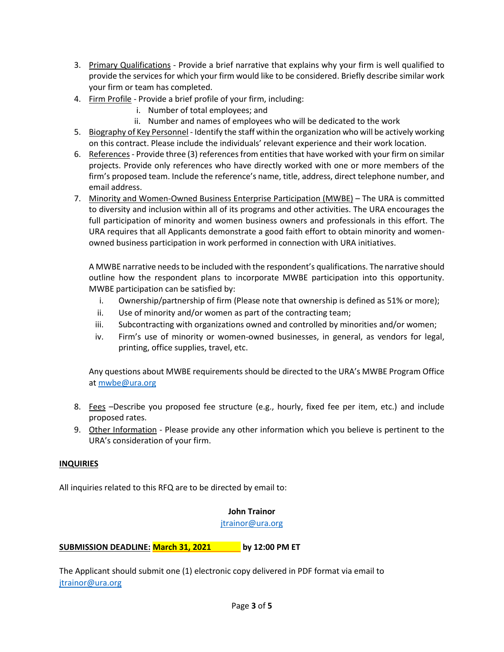- 3. Primary Qualifications Provide a brief narrative that explains why your firm is well qualified to provide the services for which your firm would like to be considered. Briefly describe similar work your firm or team has completed.
- 4. Firm Profile Provide a brief profile of your firm, including:
	- i. Number of total employees; and
	- ii. Number and names of employees who will be dedicated to the work
- 5. Biography of Key Personnel Identify the staff within the organization who will be actively working on this contract. Please include the individuals' relevant experience and their work location.
- 6. References Provide three (3) references from entities that have worked with your firm on similar projects. Provide only references who have directly worked with one or more members of the firm's proposed team. Include the reference's name, title, address, direct telephone number, and email address.
- 7. Minority and Women-Owned Business Enterprise Participation (MWBE) The URA is committed to diversity and inclusion within all of its programs and other activities. The URA encourages the full participation of minority and women business owners and professionals in this effort. The URA requires that all Applicants demonstrate a good faith effort to obtain minority and womenowned business participation in work performed in connection with URA initiatives.

A MWBE narrative needs to be included with the respondent's qualifications. The narrative should outline how the respondent plans to incorporate MWBE participation into this opportunity. MWBE participation can be satisfied by:

- i. Ownership/partnership of firm (Please note that ownership is defined as 51% or more);
- ii. Use of minority and/or women as part of the contracting team;
- iii. Subcontracting with organizations owned and controlled by minorities and/or women;
- iv. Firm's use of minority or women-owned businesses, in general, as vendors for legal, printing, office supplies, travel, etc.

Any questions about MWBE requirements should be directed to the URA's MWBE Program Office a[t mwbe@ura.org](mailto:mwbe@ura.org)

- 8. Fees –Describe you proposed fee structure (e.g., hourly, fixed fee per item, etc.) and include proposed rates.
- 9. Other Information Please provide any other information which you believe is pertinent to the URA's consideration of your firm.

# **INQUIRIES**

All inquiries related to this RFQ are to be directed by email to:

# **John Trainor**

[jtrainor@ura.org](mailto:jtrainor@ura.org)

**SUBMISSION DEADLINE: March 31, 2021 by 12:00 PM ET**

The Applicant should submit one (1) electronic copy delivered in PDF format via email to [jtrainor@ura.org](mailto:jtrainor@ura.org)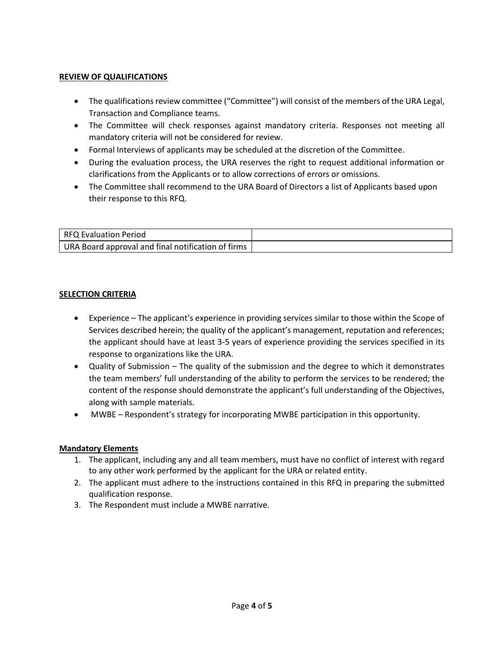# **REVIEW OF QUALIFICATIONS**

- The qualifications review committee ("Committee") will consist of the members of the URA Legal, Transaction and Compliance teams.
- The Committee will check responses against mandatory criteria. Responses not meeting all mandatory criteria will not be considered for review.
- Formal Interviews of applicants may be scheduled at the discretion of the Committee.
- During the evaluation process, the URA reserves the right to request additional information or clarifications from the Applicants or to allow corrections of errors or omissions.
- The Committee shall recommend to the URA Board of Directors a list of Applicants based upon their response to this RFQ.

| RFQ Evaluation Period                              |  |
|----------------------------------------------------|--|
| URA Board approval and final notification of firms |  |

## **SELECTION CRITERIA**

- Experience The applicant's experience in providing services similar to those within the Scope of Services described herein; the quality of the applicant's management, reputation and references; the applicant should have at least 3-5 years of experience providing the services specified in its response to organizations like the URA.
- Quality of Submission The quality of the submission and the degree to which it demonstrates the team members' full understanding of the ability to perform the services to be rendered; the content of the response should demonstrate the applicant's full understanding of the Objectives, along with sample materials.
- MWBE Respondent's strategy for incorporating MWBE participation in this opportunity.

#### **Mandatory Elements**

- 1. The applicant, including any and all team members, must have no conflict of interest with regard to any other work performed by the applicant for the URA or related entity.
- 2. The applicant must adhere to the instructions contained in this RFQ in preparing the submitted qualification response.
- 3. The Respondent must include a MWBE narrative.